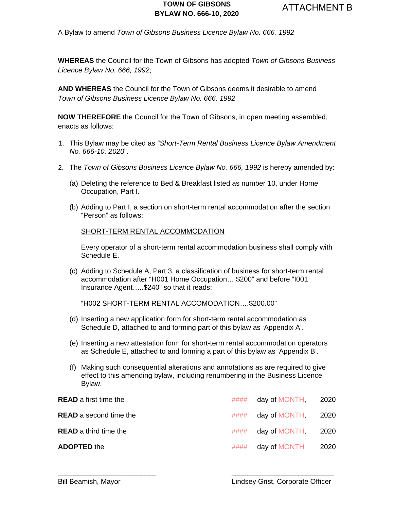A Bylaw to amend *Town of Gibsons Business Licence Bylaw No. 666, 1992*

**WHEREAS** the Council for the Town of Gibsons has adopted *Town of Gibsons Business Licence Bylaw No. 666, 1992*;

**AND WHEREAS** the Council for the Town of Gibsons deems it desirable to amend *Town of Gibsons Business Licence Bylaw No. 666, 1992*

**NOW THEREFORE** the Council for the Town of Gibsons, in open meeting assembled, enacts as follows:

- 1. This Bylaw may be cited as *"Short-Term Rental Business Licence Bylaw Amendment No. 666-10, 2020*".
- 2. The *Town of Gibsons Business Licence Bylaw No. 666, 1992* is hereby amended by:
	- (a) Deleting the reference to Bed & Breakfast listed as number 10, under Home Occupation, Part I.
	- (b) Adding to Part I, a section on short-term rental accommodation after the section "Person" as follows:

SHORT-TERM RENTAL ACCOMMODATION

Every operator of a short-term rental accommodation business shall comply with Schedule E.

(c) Adding to Schedule A, Part 3, a classification of business for short-term rental accommodation after "H001 Home Occupation….\$200" and before "I001 Insurance Agent…..\$240" so that it reads:

"H002 SHORT-TERM RENTAL ACCOMODATION….\$200.00"

- (d) Inserting a new application form for short-term rental accommodation as Schedule D, attached to and forming part of this bylaw as 'Appendix A'.
- (e) Inserting a new attestation form for short-term rental accommodation operators as Schedule E, attached to and forming a part of this bylaw as 'Appendix B'.
- (f) Making such consequential alterations and annotations as are required to give effect to this amending bylaw, including renumbering in the Business Licence Bylaw.

| <b>READ</b> a first time the  |      | $\# \# \# \#$ day of MONTH, 2020 |  |
|-------------------------------|------|----------------------------------|--|
| <b>READ</b> a second time the | #### | day of MONTH, 2020               |  |
| <b>READ</b> a third time the  | #### | day of MONTH, 2020               |  |
| <b>ADOPTED the</b>            | #### | day of MONTH 2020                |  |

\_\_\_\_\_\_\_\_\_\_\_\_\_\_\_\_\_\_\_\_\_\_\_\_\_ \_\_\_\_\_\_\_\_\_\_\_\_\_\_\_\_\_\_\_\_\_\_\_\_\_\_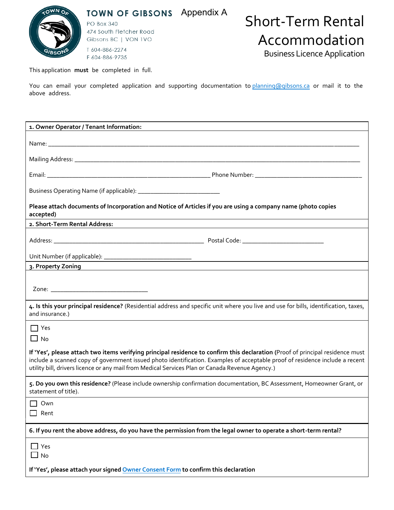

TOWN OF GIBSONS Appendix A

**PO Box 340** 474 South Fletcher Road Gibsons BC | VON 1VO T 604-886-2274 F 604-886-9735

# Short-Term Rental Accommodation

Business Licence Application

This application **must** be completed in full.

You can email your completed application and supporting documentation to planning@gibsons.ca or mail it to the [above address.](mailto:businesslicences@kelowna.ca) 

| 1. Owner Operator / Tenant Information:                                                                                                                                                                                                                                                                                                                           |  |  |  |
|-------------------------------------------------------------------------------------------------------------------------------------------------------------------------------------------------------------------------------------------------------------------------------------------------------------------------------------------------------------------|--|--|--|
|                                                                                                                                                                                                                                                                                                                                                                   |  |  |  |
|                                                                                                                                                                                                                                                                                                                                                                   |  |  |  |
|                                                                                                                                                                                                                                                                                                                                                                   |  |  |  |
|                                                                                                                                                                                                                                                                                                                                                                   |  |  |  |
|                                                                                                                                                                                                                                                                                                                                                                   |  |  |  |
|                                                                                                                                                                                                                                                                                                                                                                   |  |  |  |
| Please attach documents of Incorporation and Notice of Articles if you are using a company name (photo copies                                                                                                                                                                                                                                                     |  |  |  |
| accepted)<br>2. Short-Term Rental Address:                                                                                                                                                                                                                                                                                                                        |  |  |  |
|                                                                                                                                                                                                                                                                                                                                                                   |  |  |  |
|                                                                                                                                                                                                                                                                                                                                                                   |  |  |  |
|                                                                                                                                                                                                                                                                                                                                                                   |  |  |  |
|                                                                                                                                                                                                                                                                                                                                                                   |  |  |  |
|                                                                                                                                                                                                                                                                                                                                                                   |  |  |  |
|                                                                                                                                                                                                                                                                                                                                                                   |  |  |  |
|                                                                                                                                                                                                                                                                                                                                                                   |  |  |  |
| 4. Is this your principal residence? (Residential address and specific unit where you live and use for bills, identification, taxes,<br>and insurance.)                                                                                                                                                                                                           |  |  |  |
| $\Box$ Yes                                                                                                                                                                                                                                                                                                                                                        |  |  |  |
| $\Box$ No                                                                                                                                                                                                                                                                                                                                                         |  |  |  |
| If 'Yes', please attach two items verifying principal residence to confirm this declaration (Proof of principal residence must<br>include a scanned copy of government issued photo identification. Examples of acceptable proof of residence include a recent<br>utility bill, drivers licence or any mail from Medical Services Plan or Canada Revenue Agency.) |  |  |  |
| 5. Do you own this residence? (Please include ownership confirmation documentation, BC Assessment, Homeowner Grant, or<br>statement of title).                                                                                                                                                                                                                    |  |  |  |
| $\Box$ Own                                                                                                                                                                                                                                                                                                                                                        |  |  |  |
| Rent                                                                                                                                                                                                                                                                                                                                                              |  |  |  |
| 6. If you rent the above address, do you have the permission from the legal owner to operate a short-term rental?                                                                                                                                                                                                                                                 |  |  |  |
| $\Box$ Yes<br>$\square$ No                                                                                                                                                                                                                                                                                                                                        |  |  |  |
| If 'Yes', please attach your signed Owner Consent Form to confirm this declaration                                                                                                                                                                                                                                                                                |  |  |  |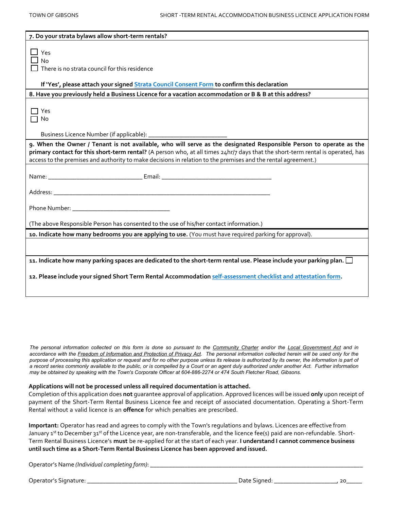| 7. Do your strata bylaws allow short-term rentals?                                                                                                                                                                                                                                                                                                                     |  |  |  |  |
|------------------------------------------------------------------------------------------------------------------------------------------------------------------------------------------------------------------------------------------------------------------------------------------------------------------------------------------------------------------------|--|--|--|--|
| $\Box$ Yes<br>$\Box$ No<br>There is no strata council for this residence                                                                                                                                                                                                                                                                                               |  |  |  |  |
| If 'Yes', please attach your signed <b>Strata Council Consent Form</b> to confirm this declaration                                                                                                                                                                                                                                                                     |  |  |  |  |
| 8. Have you previously held a Business Licence for a vacation accommodation or B & B at this address?                                                                                                                                                                                                                                                                  |  |  |  |  |
| ヿ Yes<br>ヿ No                                                                                                                                                                                                                                                                                                                                                          |  |  |  |  |
|                                                                                                                                                                                                                                                                                                                                                                        |  |  |  |  |
| 9. When the Owner / Tenant is not available, who will serve as the designated Responsible Person to operate as the<br>primary contact for this short-term rental? (A person who, at all times 24hr/7 days that the short-term rental is operated, has<br>access to the premises and authority to make decisions in relation to the premises and the rental agreement.) |  |  |  |  |
|                                                                                                                                                                                                                                                                                                                                                                        |  |  |  |  |
|                                                                                                                                                                                                                                                                                                                                                                        |  |  |  |  |
|                                                                                                                                                                                                                                                                                                                                                                        |  |  |  |  |
| (The above Responsible Person has consented to the use of his/her contact information.)                                                                                                                                                                                                                                                                                |  |  |  |  |
| 10. Indicate how many bedrooms you are applying to use. (You must have required parking for approval).                                                                                                                                                                                                                                                                 |  |  |  |  |
|                                                                                                                                                                                                                                                                                                                                                                        |  |  |  |  |
| 11. Indicate how many parking spaces are dedicated to the short-term rental use. Please include your parking plan. $\square$                                                                                                                                                                                                                                           |  |  |  |  |
| 12. Please include your signed Short Term Rental Accommodation self-assessment checklist and attestation form.                                                                                                                                                                                                                                                         |  |  |  |  |

*The personal information collected on this form is done so pursuant to the Community Charter and/or the Local Government Act and in*  accordance with the Freedom of Information and Protection of Privacy Act. The personal information collected herein will be used only for the *purpose of processing this application or request and for no other purpose unless its release is authorized by its owner, the information is part of a record series commonly available to the public, or is compelled by a Court or an agent duly authorized under another Act. Further information may be obtained by speaking with the Town's Corporate Officer at 604-886-2274 or 474 South Fletcher Road, Gibsons.* 

#### **Applications will not be processed unless all required documentation is attached.**

Completion of this application does **not** guarantee approval of application. Approved licences will be issued **only** upon receipt of payment of the Short-Term Rental Business Licence fee and receipt of associated documentation. Operating a Short-Term Rental without a valid licence is an **offence** for which penalties are prescribed.

**Important:** Operator has read and agrees to comply with the Town's regulations and bylaws. Licences are effective from January 1<sup>st</sup> to December 31st of the Licence year, are non-transferable, and the licence fee(s) paid are non-refundable. Short-Term Rental Business Licence's **must** be re-applied for at the start of each year. **I understand I cannot commence business until such time as a Short-Term Rental Business Licence has been approved and issued.** 

Operator's Name *(Individual completing form)*: \_\_\_\_\_\_\_\_\_\_\_\_\_\_\_\_\_\_\_\_\_\_\_\_\_\_\_\_\_\_\_\_\_\_\_\_\_\_\_\_\_\_\_\_\_\_\_\_\_\_\_\_\_\_\_\_\_\_\_\_\_\_\_\_\_\_\_\_

Operator's Signature: \_\_\_\_\_\_\_\_\_\_\_\_\_\_\_\_\_\_\_\_\_\_\_\_\_\_\_\_\_\_\_\_\_\_\_\_\_\_\_\_\_\_\_\_\_\_\_\_ Date Signed: \_\_\_\_\_\_\_\_\_\_\_\_\_\_\_\_\_\_\_\_, 20\_\_\_\_\_